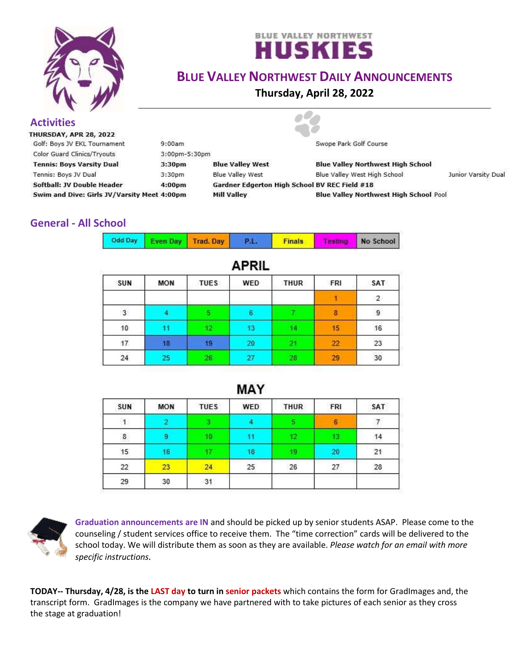



## **BLUE VALLEY NORTHWEST DAILY ANNOUNCEMENTS**

**Thursday, April 28, 2022**

#### **Activities**<br>THURSDAY, APR 28, 2022 Golf: Boys JV EKL Tournament  $9:00am$ Swope Park Golf Course **Color Guard Clinics/Tryouts** 3:00pm-5:30pm **Tennis: Boys Varsity Dual** 3:30pm **Blue Valley West Blue Valley Northwest High School Blue Valley West** Blue Valley West High School Junior Varsity Dual Tennis: Boys JV Dual 3:30pm Softball: JV Double Header 4:00pm Gardner Edgerton High School BV REC Field #18 Swim and Dive: Girls JV/Varsity Meet 4:00pm **Mill Valley Blue Valley Northwest High School Pool**

### **General - All School**

| Odd Day Even Day Trad. Day |  | <b>TP.L.</b> | <b>Finals</b> |  | No School |
|----------------------------|--|--------------|---------------|--|-----------|
|----------------------------|--|--------------|---------------|--|-----------|

| AFRIL |            |                 |     |      |     |                |
|-------|------------|-----------------|-----|------|-----|----------------|
| SUN   | <b>MON</b> | <b>TUES</b>     | WED | THUR | FRI | SAT            |
|       |            |                 |     |      |     | $\overline{2}$ |
| 3     |            |                 |     |      | 8   | 9              |
| 10    |            | 12 <sub>1</sub> | 13  |      | 15  | 16             |
| 17    | 18         | 19              | 20  |      | 22  | 23             |
| 24    | 25         | 26              | 27  | 28   | 29  | 30             |

# ADDII

| SUN | <b>MON</b> | <b>TUES</b> | <b>WED</b> | <b>THUR</b> | FRI | SAT      |
|-----|------------|-------------|------------|-------------|-----|----------|
|     |            |             |            |             | 6   | College. |
| 8   |            | 10.         |            | 12          | 13  | 14       |
| 15  | 16         |             | 18         | ø           | 20  | 21       |
| 22  | 23         | 24          | 25         | 26          | 27  | 28       |
| 29  | 30         | 31          |            |             |     |          |



**Graduation announcements are IN** and should be picked up by senior students ASAP. Please come to the counseling / student services office to receive them. The "time correction" cards will be delivered to the school today. We will distribute them as soon as they are available. *Please watch for an email with more specific instructions.*

**TODAY-- Thursday, 4/28, is the LAST day to turn in senior packets** which contains the form for GradImages and, the transcript form. GradImages is the company we have partnered with to take pictures of each senior as they cross the stage at graduation!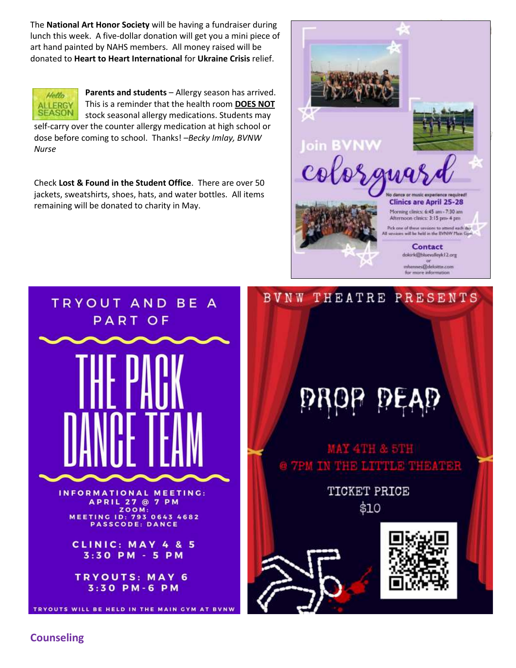The **National Art Honor Society** will be having a fundraiser during lunch this week. A five-dollar donation will get you a mini piece of art hand painted by NAHS members. All money raised will be donated to **Heart to Heart International** for **Ukraine Crisis** relief.



**Parents and students** – Allergy season has arrived. This is a reminder that the health room **DOES NOT** stock seasonal allergy medications. Students may

self-carry over the counter allergy medication at high school or dose before coming to school. Thanks! *–Becky Imlay, BVNW Nurse*

Check **Lost & Found in the Student Office**. There are over 50 jackets, sweatshirts, shoes, hats, and water bottles. All items remaining will be donated to charity in May.







**Counseling**